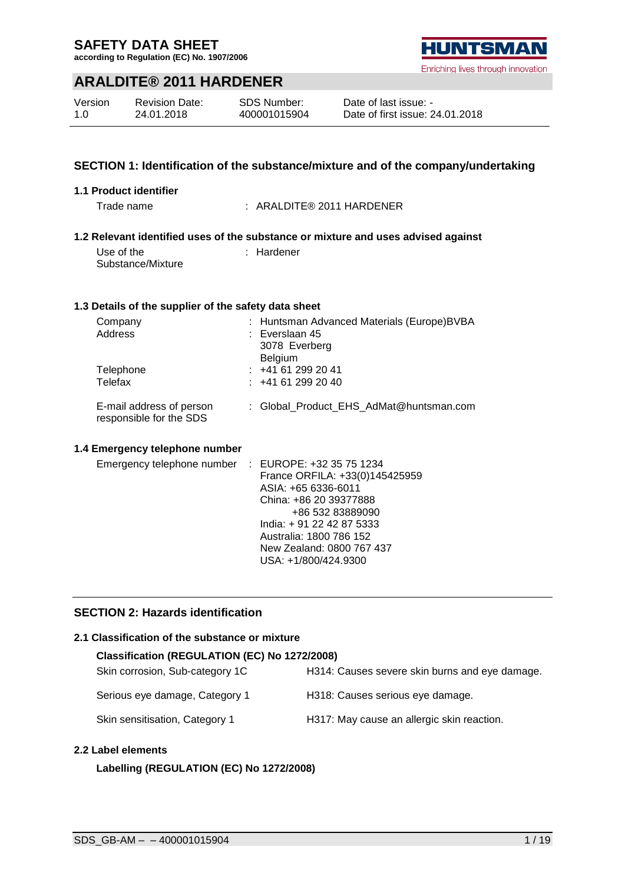**according to Regulation (EC) No. 1907/2006**

### **ARALDITE® 2011 HARDENER**

| Version | <b>Revision Date:</b> | SDS Number:  |
|---------|-----------------------|--------------|
| 1.O     | 24.01.2018            | 400001015904 |

# Enriching lives through innovation

**1.1 Product identifier** Trade name : ARALDITE® 2011 HARDENER **1.2 Relevant identified uses of the substance or mixture and uses advised against** Use of the Substance/Mixture : Hardener **1.3 Details of the supplier of the safety data sheet** Company : Huntsman Advanced Materials (Europe)BVBA : Everslaan 45 3078 Everberg Belgium Telephone : +41 61 299 20 41 Telefax : +41 61 299 20 40 E-mail address of person responsible for the SDS : Global\_Product\_EHS\_AdMat@huntsman.com **1.4 Emergency telephone number** Emergency telephone number : EUROPE: +32 35 75 1234 France ORFILA: +33(0)145425959 ASIA: +65 6336-6011 China: +86 20 39377888 +86 532 83889090 India: + 91 22 42 87 5333 Australia: 1800 786 152 New Zealand: 0800 767 437 USA: +1/800/424.9300

**SECTION 1: Identification of the substance/mixture and of the company/undertaking**

#### **SECTION 2: Hazards identification**

#### **2.1 Classification of the substance or mixture**

| Classification (REGULATION (EC) No 1272/2008) |                                                |  |  |  |
|-----------------------------------------------|------------------------------------------------|--|--|--|
| Skin corrosion, Sub-category 1C               | H314: Causes severe skin burns and eye damage. |  |  |  |
| Serious eye damage, Category 1                | H318: Causes serious eye damage.               |  |  |  |
| Skin sensitisation, Category 1                | H317: May cause an allergic skin reaction.     |  |  |  |

#### **2.2 Label elements**

#### **Labelling (REGULATION (EC) No 1272/2008)**

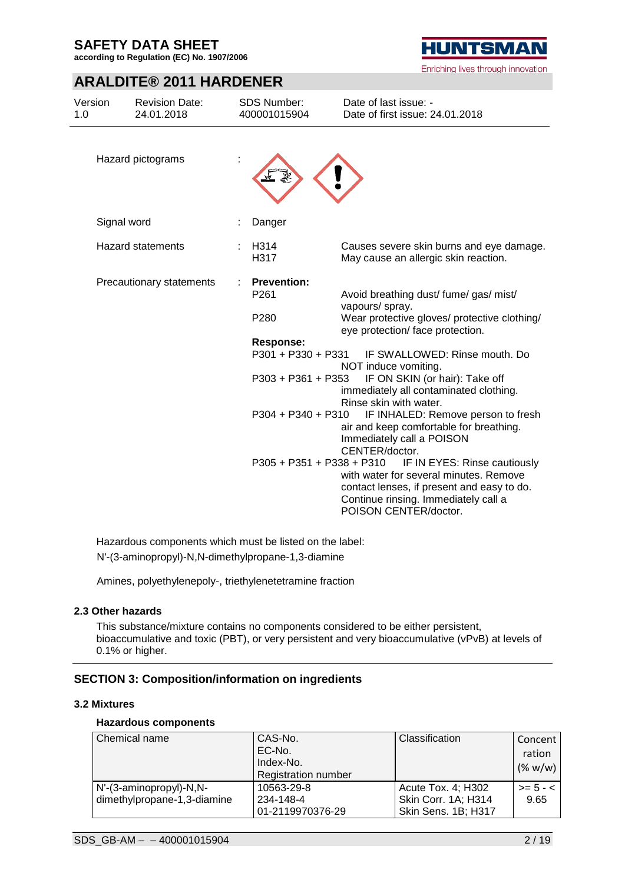**according to Regulation (EC) No. 1907/2006**

### **ARALDITE® 2011 HARDENER**

| Version<br>1.0 | <b>Revision Date:</b><br>24.01.2018 | <b>SDS Number:</b><br>400001015904 | Date of last issue: -<br>Date of first issue: 24.01.2018                                                                     |
|----------------|-------------------------------------|------------------------------------|------------------------------------------------------------------------------------------------------------------------------|
|                | Hazard pictograms                   |                                    |                                                                                                                              |
|                | Signal word                         | Danger                             |                                                                                                                              |
|                | <b>Hazard statements</b>            | H314<br>H317                       | Causes severe skin burns and eye damage.<br>May cause an allergic skin reaction.                                             |
|                | Precautionary statements            | <b>Prevention:</b><br>P261         | Avoid breathing dust/ fume/ gas/ mist/<br>vapours/ spray.                                                                    |
|                |                                     | P280                               | Wear protective gloves/ protective clothing/<br>eye protection/face protection.                                              |
|                |                                     | <b>Response:</b>                   |                                                                                                                              |
|                |                                     | P301 + P330 + P331                 | IF SWALLOWED: Rinse mouth. Do<br>NOT induce vomiting.                                                                        |
|                |                                     | P303 + P361 + P353                 | IF ON SKIN (or hair): Take off<br>immediately all contaminated clothing.<br>Rinse skin with water.                           |
|                |                                     | $P304 + P340 + P310$               | IF INHALED: Remove person to fresh<br>air and keep comfortable for breathing.<br>Immediately call a POISON<br>CENTER/doctor. |
|                |                                     | P305 + P351 + P338 + P310          | IF IN EYES: Rinse cautiously                                                                                                 |
|                |                                     |                                    | with water for several minutes. Remove                                                                                       |
|                |                                     |                                    | contact lenses, if present and easy to do.<br>Continue rinsing. Immediately call a                                           |
|                |                                     |                                    | POISON CENTER/doctor.                                                                                                        |

Hazardous components which must be listed on the label: N'-(3-aminopropyl)-N,N-dimethylpropane-1,3-diamine

Amines, polyethylenepoly-, triethylenetetramine fraction

#### **2.3 Other hazards**

This substance/mixture contains no components considered to be either persistent, bioaccumulative and toxic (PBT), or very persistent and very bioaccumulative (vPvB) at levels of 0.1% or higher.

#### **SECTION 3: Composition/information on ingredients**

#### **3.2 Mixtures**

#### **Hazardous components**

| Chemical name               | CAS-No.<br>EC-No.<br>Index-No.<br><b>Registration number</b> | Classification      | Concent<br>ration<br>$(\% w/w)$ |
|-----------------------------|--------------------------------------------------------------|---------------------|---------------------------------|
| N'-(3-aminopropyl)-N,N-     | 10563-29-8                                                   | Acute Tox. 4; H302  | $>= 5 - <$                      |
| dimethylpropane-1,3-diamine | 234-148-4                                                    | Skin Corr. 1A; H314 | 9.65                            |
|                             | 01-2119970376-29                                             | Skin Sens. 1B; H317 |                                 |



Enriching lives through innovation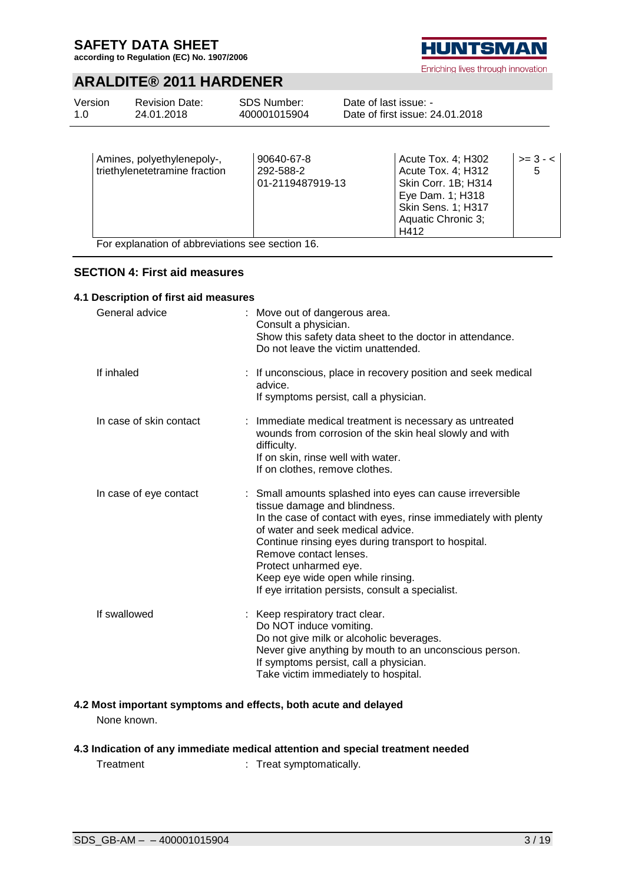**according to Regulation (EC) No. 1907/2006**

### **ARALDITE® 2011 HARDENER**

|                          |            | Date of first issue: 24.01.2018 |         |
|--------------------------|------------|---------------------------------|---------|
| Amines nolvethylenenoly- | 90640-67-8 | Acute Tox 4: H302               | $3 - c$ |

| Amines, polyethylenepoly-,<br>triethylenetetramine fraction | 90640-67-8<br>292-588-2 | Acute Tox. 4; H302<br>Acute Tox. 4; H312 | $>= 3 - 5$ |
|-------------------------------------------------------------|-------------------------|------------------------------------------|------------|
|                                                             | 01-2119487919-13        | Skin Corr. 1B; H314                      |            |
|                                                             |                         | Eye Dam. 1; H318                         |            |
|                                                             |                         | <b>Skin Sens. 1; H317</b>                |            |
|                                                             |                         | Aquatic Chronic 3;                       |            |
|                                                             |                         | H412                                     |            |

For explanation of abbreviations see section 16.

#### **SECTION 4: First aid measures**

#### **4.1 Description of first aid measures**

| General advice          | : Move out of dangerous area.<br>Consult a physician.<br>Show this safety data sheet to the doctor in attendance.<br>Do not leave the victim unattended.                                                                                                                                                                                                                                              |
|-------------------------|-------------------------------------------------------------------------------------------------------------------------------------------------------------------------------------------------------------------------------------------------------------------------------------------------------------------------------------------------------------------------------------------------------|
| If inhaled              | : If unconscious, place in recovery position and seek medical<br>advice.<br>If symptoms persist, call a physician.                                                                                                                                                                                                                                                                                    |
| In case of skin contact | : Immediate medical treatment is necessary as untreated<br>wounds from corrosion of the skin heal slowly and with<br>difficulty.<br>If on skin, rinse well with water.<br>If on clothes, remove clothes.                                                                                                                                                                                              |
| In case of eye contact  | : Small amounts splashed into eyes can cause irreversible<br>tissue damage and blindness.<br>In the case of contact with eyes, rinse immediately with plenty<br>of water and seek medical advice.<br>Continue rinsing eyes during transport to hospital.<br>Remove contact lenses.<br>Protect unharmed eye.<br>Keep eye wide open while rinsing.<br>If eye irritation persists, consult a specialist. |
| If swallowed            | : Keep respiratory tract clear.<br>Do NOT induce vomiting.<br>Do not give milk or alcoholic beverages.<br>Never give anything by mouth to an unconscious person.<br>If symptoms persist, call a physician.<br>Take victim immediately to hospital.                                                                                                                                                    |

#### **4.2 Most important symptoms and effects, both acute and delayed** None known.

### **4.3 Indication of any immediate medical attention and special treatment needed**

Treatment : Treat symptomatically.



Enriching lives through innovation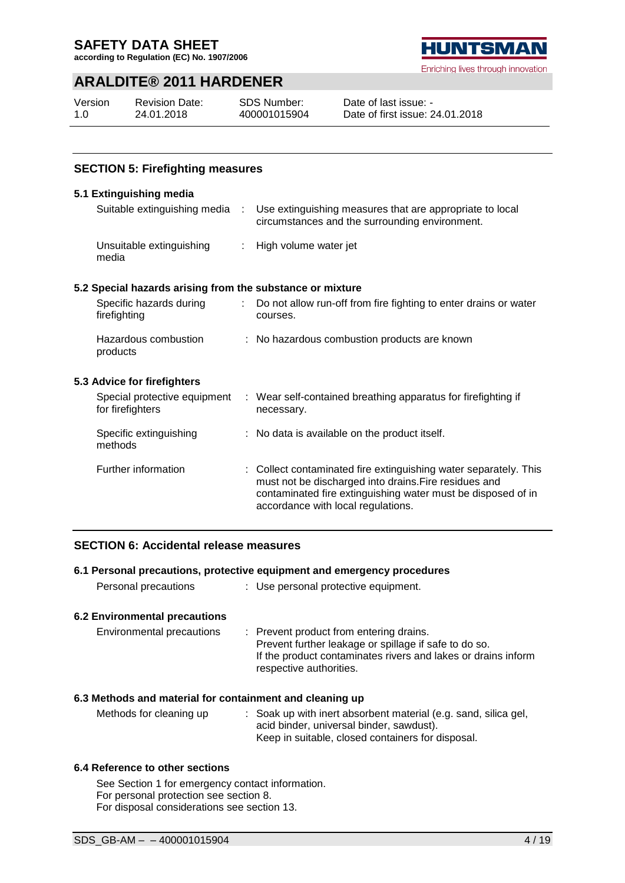**according to Regulation (EC) No. 1907/2006**



#### Enriching lives through innovation

### **ARALDITE® 2011 HARDENER**

| Version | <b>Revision Date:</b> | <b>SDS Number:</b> | Dε |
|---------|-----------------------|--------------------|----|
| 1.0     | 24.01.2018            | 400001015904       | Dε |

ate of last issue: ate of first issue: 24.01.2018

#### **SECTION 5: Firefighting measures**

#### **5.1 Extinguishing media**

| Suitable extinguishing media :                            |    | Use extinguishing measures that are appropriate to local<br>circumstances and the surrounding environment.                                                                                                                      |
|-----------------------------------------------------------|----|---------------------------------------------------------------------------------------------------------------------------------------------------------------------------------------------------------------------------------|
| Unsuitable extinguishing<br>media                         |    | : High volume water jet                                                                                                                                                                                                         |
| 5.2 Special hazards arising from the substance or mixture |    |                                                                                                                                                                                                                                 |
| Specific hazards during<br>firefighting                   | ÷. | Do not allow run-off from fire fighting to enter drains or water<br>courses.                                                                                                                                                    |
| Hazardous combustion<br>products                          |    | : No hazardous combustion products are known                                                                                                                                                                                    |
| 5.3 Advice for firefighters                               |    |                                                                                                                                                                                                                                 |
| Special protective equipment<br>for firefighters          |    | : Wear self-contained breathing apparatus for firefighting if<br>necessary.                                                                                                                                                     |
| Specific extinguishing<br>methods                         |    | : No data is available on the product itself.                                                                                                                                                                                   |
| Further information                                       |    | : Collect contaminated fire extinguishing water separately. This<br>must not be discharged into drains. Fire residues and<br>contaminated fire extinguishing water must be disposed of in<br>accordance with local regulations. |

### **SECTION 6: Accidental release measures**

#### **6.1 Personal precautions, protective equipment and emergency procedures**

| Personal precautions | Use personal protective equipment. |  |
|----------------------|------------------------------------|--|
|                      |                                    |  |

#### **6.2 Environmental precautions**

| Environmental precautions | : Prevent product from entering drains.                       |
|---------------------------|---------------------------------------------------------------|
|                           | Prevent further leakage or spillage if safe to do so.         |
|                           | If the product contaminates rivers and lakes or drains inform |
|                           | respective authorities.                                       |

#### **6.3 Methods and material for containment and cleaning up**

Methods for cleaning up : Soak up with inert absorbent material (e.g. sand, silica gel, acid binder, universal binder, sawdust). Keep in suitable, closed containers for disposal.

#### **6.4 Reference to other sections**

See Section 1 for emergency contact information. For personal protection see section 8. For disposal considerations see section 13.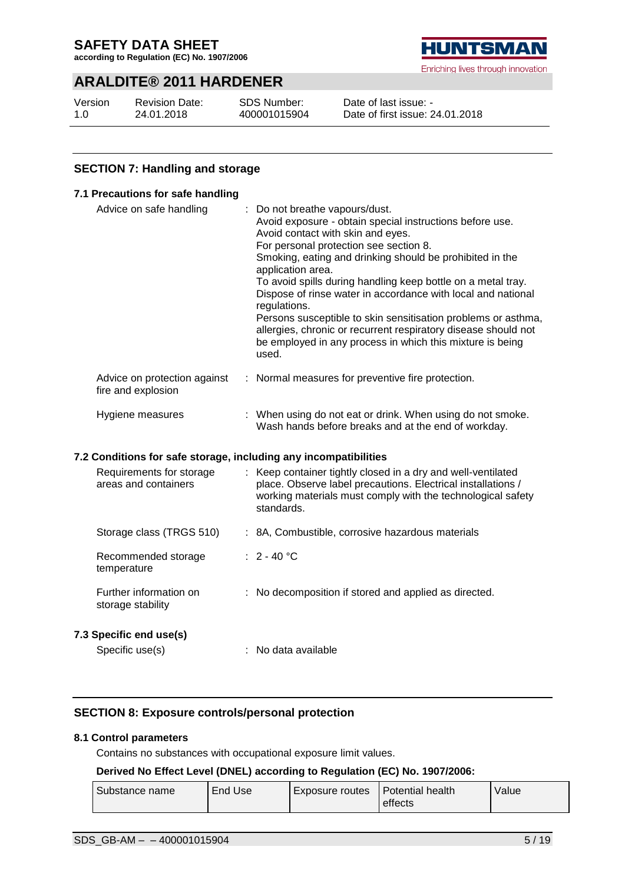**according to Regulation (EC) No. 1907/2006**

### **ARALDITE® 2011 HARDENER**

| Version | <b>Revision Date:</b> |
|---------|-----------------------|
| 1.0     | 24.01.2018            |

SDS Number: 400001015904



Enriching lives through innovation

Date of last issue: - Date of first issue: 24.01.2018

### **SECTION 7: Handling and storage**

|                         | 7.1 Precautions for safe handling                                |                                                                                                                                                                                                                                                                                                                                                                                                                                                                                                                                                                                                                   |
|-------------------------|------------------------------------------------------------------|-------------------------------------------------------------------------------------------------------------------------------------------------------------------------------------------------------------------------------------------------------------------------------------------------------------------------------------------------------------------------------------------------------------------------------------------------------------------------------------------------------------------------------------------------------------------------------------------------------------------|
| Advice on safe handling |                                                                  | Do not breathe vapours/dust.<br>Avoid exposure - obtain special instructions before use.<br>Avoid contact with skin and eyes.<br>For personal protection see section 8.<br>Smoking, eating and drinking should be prohibited in the<br>application area.<br>To avoid spills during handling keep bottle on a metal tray.<br>Dispose of rinse water in accordance with local and national<br>regulations.<br>Persons susceptible to skin sensitisation problems or asthma,<br>allergies, chronic or recurrent respiratory disease should not<br>be employed in any process in which this mixture is being<br>used. |
|                         | Advice on protection against<br>fire and explosion               | : Normal measures for preventive fire protection.                                                                                                                                                                                                                                                                                                                                                                                                                                                                                                                                                                 |
|                         | Hygiene measures                                                 | : When using do not eat or drink. When using do not smoke.<br>Wash hands before breaks and at the end of workday.                                                                                                                                                                                                                                                                                                                                                                                                                                                                                                 |
|                         | 7.2 Conditions for safe storage, including any incompatibilities |                                                                                                                                                                                                                                                                                                                                                                                                                                                                                                                                                                                                                   |
|                         | Requirements for storage<br>areas and containers                 | Keep container tightly closed in a dry and well-ventilated<br>place. Observe label precautions. Electrical installations /<br>working materials must comply with the technological safety<br>standards.                                                                                                                                                                                                                                                                                                                                                                                                           |
|                         | Storage class (TRGS 510)                                         | : 8A, Combustible, corrosive hazardous materials                                                                                                                                                                                                                                                                                                                                                                                                                                                                                                                                                                  |
|                         | Recommended storage<br>temperature                               | $: 2 - 40 °C$                                                                                                                                                                                                                                                                                                                                                                                                                                                                                                                                                                                                     |
|                         | Further information on<br>storage stability                      | : No decomposition if stored and applied as directed.                                                                                                                                                                                                                                                                                                                                                                                                                                                                                                                                                             |
|                         | 7.3 Specific end use(s)                                          |                                                                                                                                                                                                                                                                                                                                                                                                                                                                                                                                                                                                                   |
|                         | Specific use(s)                                                  | : No data available                                                                                                                                                                                                                                                                                                                                                                                                                                                                                                                                                                                               |

### **SECTION 8: Exposure controls/personal protection**

#### **8.1 Control parameters**

Contains no substances with occupational exposure limit values.

#### **Derived No Effect Level (DNEL) according to Regulation (EC) No. 1907/2006:**

| Substance name | End Use | Exposure routes   Potential health |         | Value |
|----------------|---------|------------------------------------|---------|-------|
|                |         |                                    | effects |       |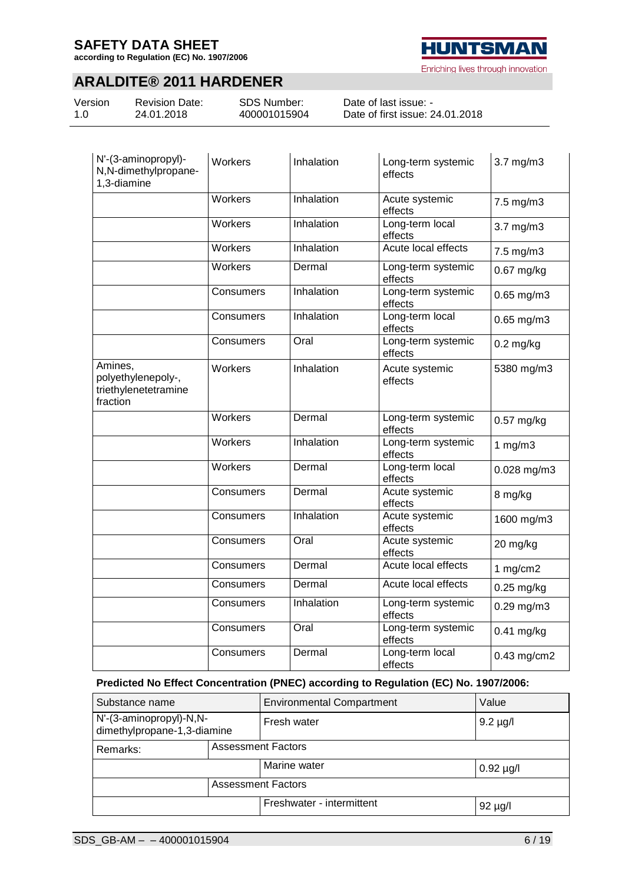**according to Regulation (EC) No. 1907/2006**

### **ARALDITE® 2011 HARDENER**

| Version |  |
|---------|--|
| 1.0     |  |

Revision Date: 24.01.2018

SDS Number: 400001015904

Date of last issue: - Date of first issue: 24.01.2018

| N'-(3-aminopropyl)-<br>N,N-dimethylpropane-<br>1,3-diamine        | Workers        | Inhalation | Long-term systemic<br>effects | $3.7$ mg/m $3$  |
|-------------------------------------------------------------------|----------------|------------|-------------------------------|-----------------|
|                                                                   | Workers        | Inhalation | Acute systemic<br>effects     | 7.5 mg/m3       |
|                                                                   | Workers        | Inhalation | Long-term local<br>effects    | 3.7 mg/m3       |
|                                                                   | Workers        | Inhalation | Acute local effects           | 7.5 mg/m3       |
|                                                                   | Workers        | Dermal     | Long-term systemic<br>effects | 0.67 mg/kg      |
|                                                                   | Consumers      | Inhalation | Long-term systemic<br>effects | $0.65$ mg/m $3$ |
|                                                                   | Consumers      | Inhalation | Long-term local<br>effects    | $0.65$ mg/m $3$ |
|                                                                   | Consumers      | Oral       | Long-term systemic<br>effects | $0.2$ mg/kg     |
| Amines,<br>polyethylenepoly-,<br>triethylenetetramine<br>fraction | Workers        | Inhalation | Acute systemic<br>effects     | 5380 mg/m3      |
|                                                                   | <b>Workers</b> | Dermal     | Long-term systemic<br>effects | $0.57$ mg/kg    |
|                                                                   | Workers        | Inhalation | Long-term systemic<br>effects | 1 $mg/m3$       |
|                                                                   | <b>Workers</b> | Dermal     | Long-term local<br>effects    | $0.028$ mg/m3   |
|                                                                   | Consumers      | Dermal     | Acute systemic<br>effects     | 8 mg/kg         |
|                                                                   | Consumers      | Inhalation | Acute systemic<br>effects     | 1600 mg/m3      |
|                                                                   | Consumers      | Oral       | Acute systemic<br>effects     | 20 mg/kg        |
|                                                                   | Consumers      | Dermal     | Acute local effects           | 1 $mg/cm2$      |
|                                                                   | Consumers      | Dermal     | Acute local effects           | $0.25$ mg/kg    |
|                                                                   | Consumers      | Inhalation | Long-term systemic<br>effects | $0.29$ mg/m $3$ |
|                                                                   | Consumers      | Oral       | Long-term systemic<br>effects | 0.41 mg/kg      |
|                                                                   | Consumers      | Dermal     | Long-term local<br>effects    | 0.43 mg/cm2     |

#### **Predicted No Effect Concentration (PNEC) according to Regulation (EC) No. 1907/2006:**

| Substance name                                         |                           | <b>Environmental Compartment</b> | Value          |  |
|--------------------------------------------------------|---------------------------|----------------------------------|----------------|--|
| N'-(3-aminopropyl)-N,N-<br>dimethylpropane-1,3-diamine |                           | Fresh water                      | $9.2 \mu g/l$  |  |
| <b>Assessment Factors</b><br>Remarks:                  |                           |                                  |                |  |
|                                                        |                           | Marine water                     | $0.92 \mu g/l$ |  |
|                                                        | <b>Assessment Factors</b> |                                  |                |  |
|                                                        |                           | Freshwater - intermittent        | $92 \mu g/l$   |  |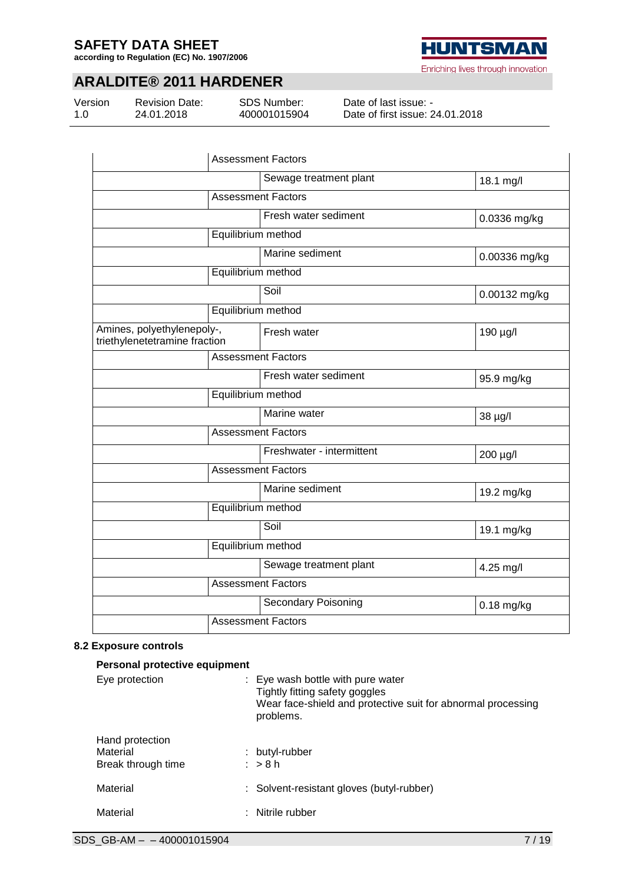**according to Regulation (EC) No. 1907/2006**



### **ARALDITE® 2011 HARDENER**

Version 1.0

Revision Date: 24.01.2018

SDS Number: 400001015904

Date of last issue: - Date of first issue: 24.01.2018

| <b>Assessment Factors</b>                                   |                                      |               |  |  |
|-------------------------------------------------------------|--------------------------------------|---------------|--|--|
|                                                             | Sewage treatment plant               | 18.1 mg/l     |  |  |
|                                                             | <b>Assessment Factors</b>            |               |  |  |
|                                                             | Fresh water sediment<br>0.0336 mg/kg |               |  |  |
|                                                             | Equilibrium method                   |               |  |  |
|                                                             | Marine sediment                      | 0.00336 mg/kg |  |  |
|                                                             | Equilibrium method                   |               |  |  |
|                                                             | Soil                                 | 0.00132 mg/kg |  |  |
|                                                             | Equilibrium method                   |               |  |  |
| Amines, polyethylenepoly-,<br>triethylenetetramine fraction | Fresh water                          | 190 µg/l      |  |  |
|                                                             | <b>Assessment Factors</b>            |               |  |  |
|                                                             | Fresh water sediment                 | 95.9 mg/kg    |  |  |
|                                                             | Equilibrium method                   |               |  |  |
|                                                             | Marine water                         | 38 µg/l       |  |  |
|                                                             | <b>Assessment Factors</b>            |               |  |  |
|                                                             | Freshwater - intermittent            | 200 µg/l      |  |  |
|                                                             | <b>Assessment Factors</b>            |               |  |  |
|                                                             | Marine sediment                      | 19.2 mg/kg    |  |  |
|                                                             | Equilibrium method                   |               |  |  |
|                                                             | Soil                                 | 19.1 mg/kg    |  |  |
| Equilibrium method                                          |                                      |               |  |  |
|                                                             | Sewage treatment plant               | 4.25 mg/l     |  |  |
|                                                             | <b>Assessment Factors</b>            |               |  |  |
|                                                             | <b>Secondary Poisoning</b>           | $0.18$ mg/kg  |  |  |
|                                                             | <b>Assessment Factors</b>            |               |  |  |

#### **8.2 Exposure controls**

| Personal protective equipment                     |  |                                                                                                                                                             |  |  |  |  |  |
|---------------------------------------------------|--|-------------------------------------------------------------------------------------------------------------------------------------------------------------|--|--|--|--|--|
| Eye protection                                    |  | $\therefore$ Eye wash bottle with pure water<br>Tightly fitting safety goggles<br>Wear face-shield and protective suit for abnormal processing<br>problems. |  |  |  |  |  |
| Hand protection<br>Material<br>Break through time |  | : butyl-rubber<br>$:$ > 8 h                                                                                                                                 |  |  |  |  |  |
| Material                                          |  | : Solvent-resistant gloves (butyl-rubber)                                                                                                                   |  |  |  |  |  |
| Material                                          |  | : Nitrile rubber                                                                                                                                            |  |  |  |  |  |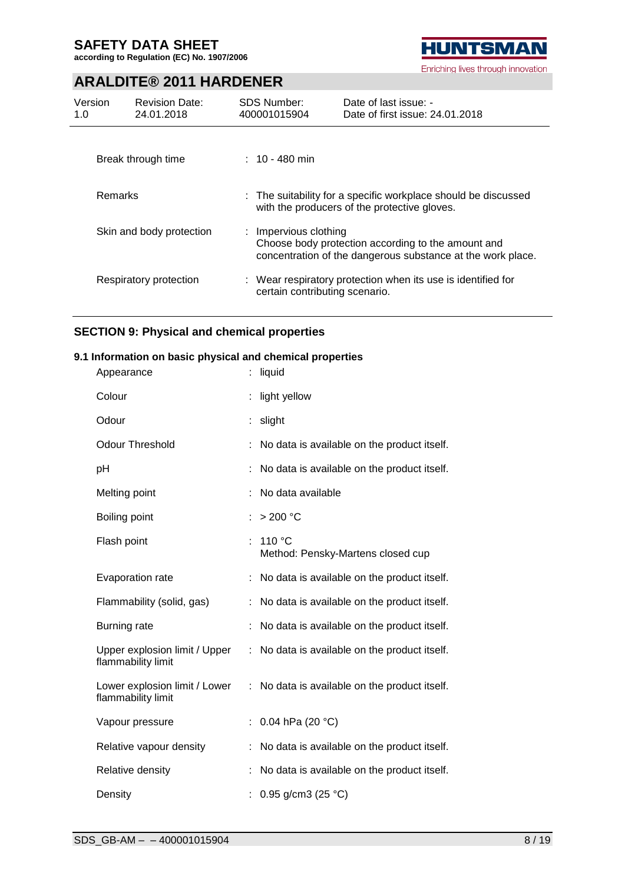**according to Regulation (EC) No. 1907/2006**



### **ARALDITE® 2011 HARDENER**

| Version<br>1.0 | <b>Revision Date:</b><br>24.01.2018 | <b>SDS Number:</b><br>400001015904 | Date of last issue: -<br>Date of first issue: 24.01.2018                                                          |
|----------------|-------------------------------------|------------------------------------|-------------------------------------------------------------------------------------------------------------------|
|                | Break through time                  | $: 10 - 480$ min                   |                                                                                                                   |
| Remarks        |                                     |                                    | : The suitability for a specific workplace should be discussed<br>with the producers of the protective gloves.    |
|                | Skin and body protection            | : Impervious clothing              | Choose body protection according to the amount and<br>concentration of the dangerous substance at the work place. |
|                | Respiratory protection              | certain contributing scenario.     | : Wear respiratory protection when its use is identified for                                                      |

#### **SECTION 9: Physical and chemical properties**

#### **9.1 Information on basic physical and chemical properties**

| Appearance                                          |    | liquid                                      |
|-----------------------------------------------------|----|---------------------------------------------|
| Colour                                              |    | light yellow                                |
| Odour                                               |    | slight                                      |
| <b>Odour Threshold</b>                              |    | No data is available on the product itself. |
| рH                                                  |    | No data is available on the product itself. |
| Melting point                                       |    | No data available                           |
| Boiling point                                       |    | $>200$ °C                                   |
| Flash point                                         |    | 110 °C<br>Method: Pensky-Martens closed cup |
| Evaporation rate                                    |    | No data is available on the product itself. |
| Flammability (solid, gas)                           |    | No data is available on the product itself. |
| Burning rate                                        |    | No data is available on the product itself. |
| Upper explosion limit / Upper<br>flammability limit | t. | No data is available on the product itself. |
| Lower explosion limit / Lower<br>flammability limit | ÷  | No data is available on the product itself. |
| Vapour pressure                                     |    | 0.04 hPa (20 °C)                            |
| Relative vapour density                             |    | No data is available on the product itself. |
| Relative density                                    |    | No data is available on the product itself. |
| Density                                             |    | 0.95 g/cm3 (25 °C)                          |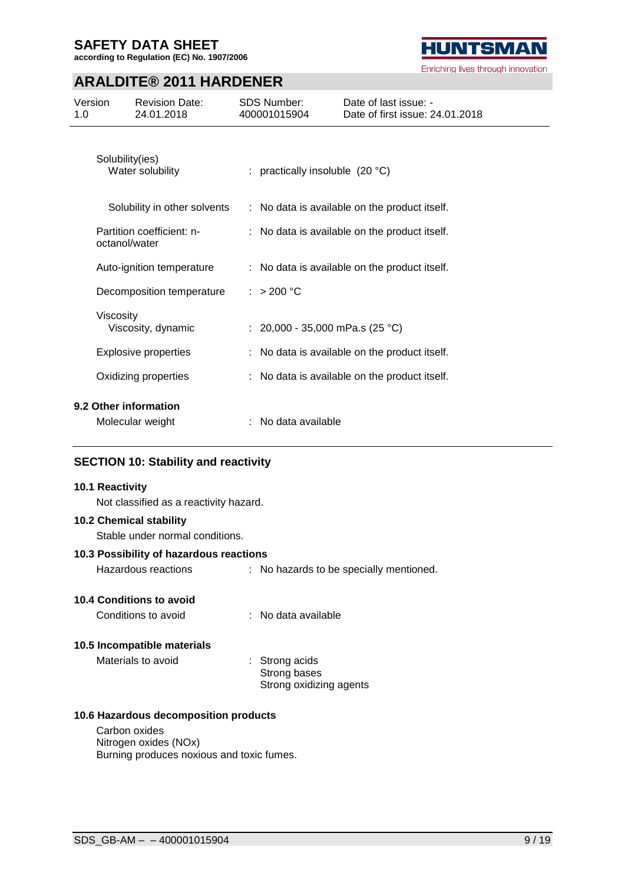**according to Regulation (EC) No. 1907/2006**



### **ARALDITE® 2011 HARDENER**

| Version<br>1.0 |                 | <b>Revision Date:</b><br>24.01.2018       | SDS Number:<br>400001015904       | Date of last issue: -<br>Date of first issue: 24.01.2018 |
|----------------|-----------------|-------------------------------------------|-----------------------------------|----------------------------------------------------------|
|                | Solubility(ies) | Water solubility                          | : practically insoluble $(20 °C)$ |                                                          |
|                |                 | Solubility in other solvents              |                                   | : No data is available on the product itself.            |
|                | octanol/water   | Partition coefficient: n-                 |                                   | No data is available on the product itself.              |
|                |                 | Auto-ignition temperature                 |                                   | No data is available on the product itself.              |
|                |                 | Decomposition temperature                 | : > 200 °C                        |                                                          |
|                | Viscosity       | Viscosity, dynamic                        | : 20,000 - 35,000 mPa.s (25 °C)   |                                                          |
|                |                 | <b>Explosive properties</b>               |                                   | No data is available on the product itself.              |
|                |                 | Oxidizing properties                      |                                   | No data is available on the product itself.              |
|                |                 | 9.2 Other information<br>Molecular weight | No data available                 |                                                          |

#### **SECTION 10: Stability and reactivity**

#### **10.1 Reactivity**

Not classified as a reactivity hazard.

#### **10.2 Chemical stability**

Stable under normal conditions.

#### **10.3 Possibility of hazardous reactions**

Hazardous reactions : No hazards to be specially mentioned.

#### **10.4 Conditions to avoid**

Conditions to avoid : No data available

#### **10.5 Incompatible materials**

Materials to avoid : Strong acids

Strong bases Strong oxidizing agents

#### **10.6 Hazardous decomposition products**

Carbon oxides Nitrogen oxides (NOx) Burning produces noxious and toxic fumes.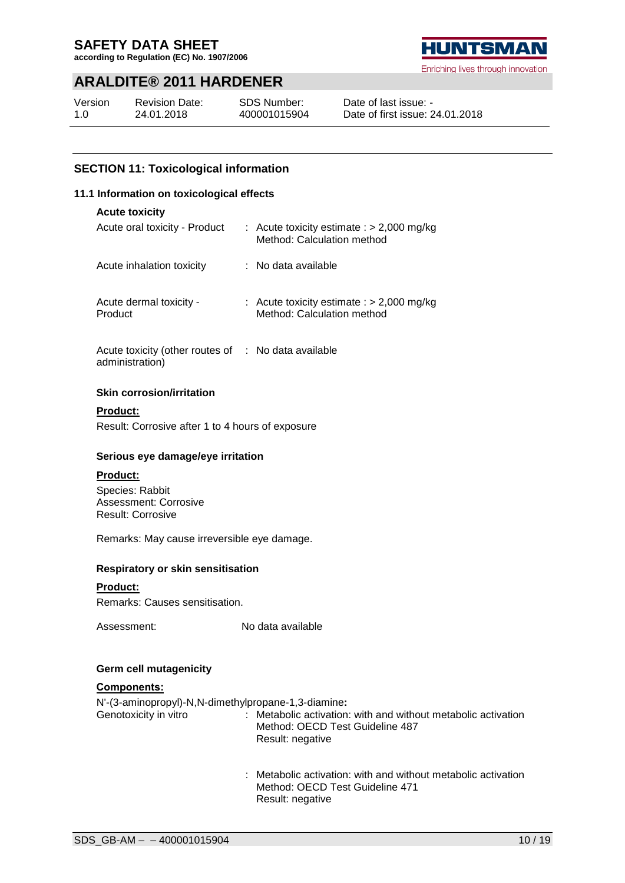**according to Regulation (EC) No. 1907/2006**

### **ARALDITE® 2011 HARDENER**

| Version | <b>Revision Date:</b> |
|---------|-----------------------|
| 1.0     | 24.01.2018            |

SDS Number: 400001015904



Enriching lives through innovation

Date of last issue: - Date of first issue: 24.01.2018

#### **SECTION 11: Toxicological information**

#### **11.1 Information on toxicological effects**

| <b>Acute toxicity</b>                                                                 |                                                                           |
|---------------------------------------------------------------------------------------|---------------------------------------------------------------------------|
| Acute oral toxicity - Product                                                         | : Acute toxicity estimate : $> 2,000$ mg/kg<br>Method: Calculation method |
| Acute inhalation toxicity                                                             | $:$ No data available                                                     |
| Acute dermal toxicity -<br>Product                                                    | : Acute toxicity estimate : $> 2,000$ mg/kg<br>Method: Calculation method |
| الماطلة والمنابس والملاحات والمستركب والمستحد والمناسبة والتناسية والمناسبة والمناسبة |                                                                           |

Acute toxicity (other routes of : No data available administration)

#### **Skin corrosion/irritation**

**Product:** Result: Corrosive after 1 to 4 hours of exposure

#### **Serious eye damage/eye irritation**

#### **Product:**

Species: Rabbit Assessment: Corrosive Result: Corrosive

Remarks: May cause irreversible eye damage.

#### **Respiratory or skin sensitisation**

#### **Product:**

Remarks: Causes sensitisation.

Assessment: No data available

#### **Germ cell mutagenicity**

#### **Components:**

N'-(3-aminopropyl)-N,N-dimethylpropane-1,3-diamine**:**

- Genotoxicity in vitro : Metabolic activation: with and without metabolic activation Method: OECD Test Guideline 487 Result: negative
	- : Metabolic activation: with and without metabolic activation Method: OECD Test Guideline 471 Result: negative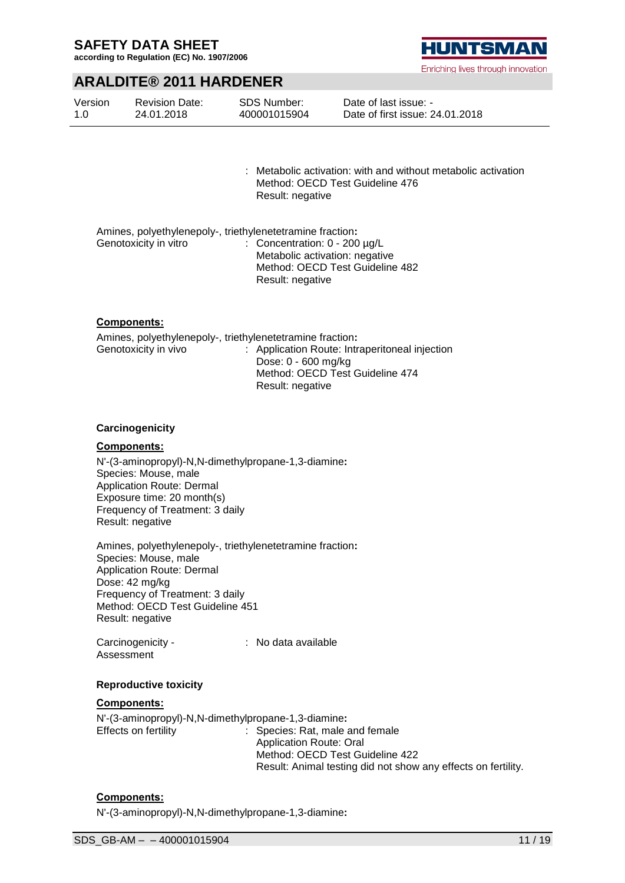**according to Regulation (EC) No. 1907/2006**



### **ARALDITE® 2011 HARDENER**

| Version | <b>Revision Date:</b> | <b>SDS Number:</b> | Date of last issue: -           |
|---------|-----------------------|--------------------|---------------------------------|
| 1.0     | 24.01.2018            | 400001015904       | Date of first issue: 24.01.2018 |

: Metabolic activation: with and without metabolic activation Method: OECD Test Guideline 476 Result: negative

|                       | Amines, polyethylenepoly-, triethylenetetramine fraction: |
|-----------------------|-----------------------------------------------------------|
| Genotoxicity in vitro | : Concentration: $0 - 200 \mu g/L$                        |
|                       | Metabolic activation: negative                            |
|                       | Method: OECD Test Guideline 482                           |
|                       | Result: negative                                          |

#### **Components:**

Amines, polyethylenepoly-, triethylenetetramine fraction**:** Genotoxicity in vivo : Application Route: Intraperitoneal injection Dose: 0 - 600 mg/kg Method: OECD Test Guideline 474 Result: negative

#### **Carcinogenicity**

#### **Components:**

N'-(3-aminopropyl)-N,N-dimethylpropane-1,3-diamine**:** Species: Mouse, male Application Route: Dermal Exposure time: 20 month(s) Frequency of Treatment: 3 daily Result: negative

Amines, polyethylenepoly-, triethylenetetramine fraction**:** Species: Mouse, male Application Route: Dermal Dose: 42 mg/kg Frequency of Treatment: 3 daily Method: OECD Test Guideline 451 Result: negative

Carcinogenicity - Assessment : No data available

#### **Reproductive toxicity**

#### **Components:**

N'-(3-aminopropyl)-N,N-dimethylpropane-1,3-diamine**:** Effects on fertility : Species: Rat, male and female Application Route: Oral

Method: OECD Test Guideline 422 Result: Animal testing did not show any effects on fertility.

#### **Components:**

N'-(3-aminopropyl)-N,N-dimethylpropane-1,3-diamine**:**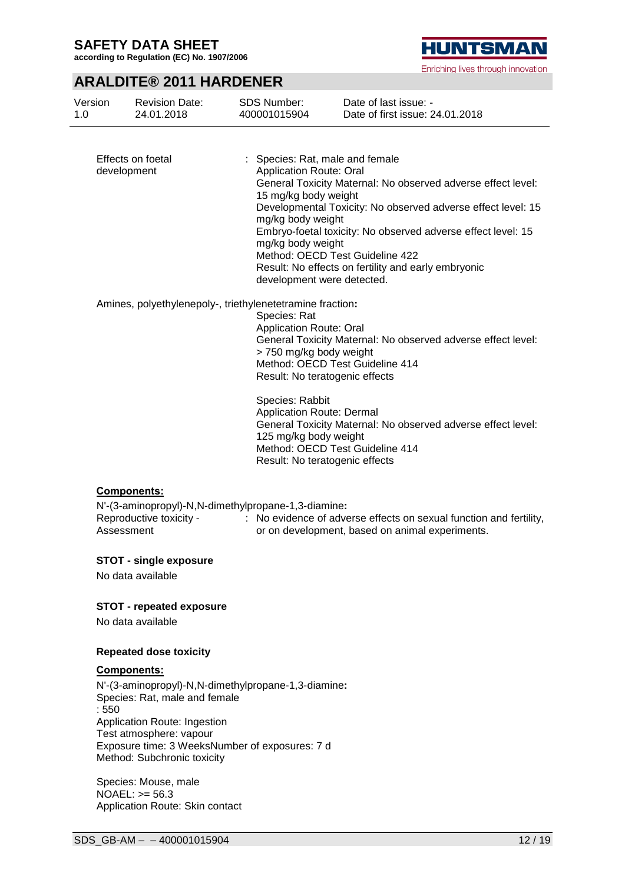**according to Regulation (EC) No. 1907/2006**

# **HUNTSMAN**

|                                  |                                                      |                                                                                                                                                                                                             | Enriching lives through innovation                                                                                                                                                                                                                  |
|----------------------------------|------------------------------------------------------|-------------------------------------------------------------------------------------------------------------------------------------------------------------------------------------------------------------|-----------------------------------------------------------------------------------------------------------------------------------------------------------------------------------------------------------------------------------------------------|
|                                  | <b>ARALDITE® 2011 HARDENER</b>                       |                                                                                                                                                                                                             |                                                                                                                                                                                                                                                     |
| Version<br>1.0                   | <b>Revision Date:</b><br>24.01.2018                  | <b>SDS Number:</b><br>400001015904                                                                                                                                                                          | Date of last issue: -<br>Date of first issue: 24.01.2018                                                                                                                                                                                            |
| Effects on foetal<br>development |                                                      | Species: Rat, male and female<br><b>Application Route: Oral</b><br>15 mg/kg body weight<br>mg/kg body weight<br>mg/kg body weight<br>Method: OECD Test Guideline 422<br>development were detected.          | General Toxicity Maternal: No observed adverse effect level:<br>Developmental Toxicity: No observed adverse effect level: 15<br>Embryo-foetal toxicity: No observed adverse effect level: 15<br>Result: No effects on fertility and early embryonic |
|                                  |                                                      | Amines, polyethylenepoly-, triethylenetetramine fraction:<br>Species: Rat<br><b>Application Route: Oral</b><br>> 750 mg/kg body weight<br>Method: OECD Test Guideline 414<br>Result: No teratogenic effects | General Toxicity Maternal: No observed adverse effect level:                                                                                                                                                                                        |
|                                  |                                                      | Species: Rabbit<br><b>Application Route: Dermal</b><br>125 mg/kg body weight<br>Method: OECD Test Guideline 414<br>Result: No teratogenic effects                                                           | General Toxicity Maternal: No observed adverse effect level:                                                                                                                                                                                        |
| Components:<br>Assessment        | Reproductive toxicity -                              | N'-(3-aminopropyl)-N,N-dimethylpropane-1,3-diamine:                                                                                                                                                         | : No evidence of adverse effects on sexual function and fertility,<br>or on development, based on animal experiments.                                                                                                                               |
|                                  | <b>STOT - single exposure</b><br>No data available   |                                                                                                                                                                                                             |                                                                                                                                                                                                                                                     |
|                                  | <b>STOT - repeated exposure</b><br>No data available |                                                                                                                                                                                                             |                                                                                                                                                                                                                                                     |

### **Repeated dose toxicity**

#### **Components:**

N'-(3-aminopropyl)-N,N-dimethylpropane-1,3-diamine**:** Species: Rat, male and female : 550 Application Route: Ingestion Test atmosphere: vapour Exposure time: 3 WeeksNumber of exposures: 7 d Method: Subchronic toxicity

Species: Mouse, male NOAEL: >= 56.3 Application Route: Skin contact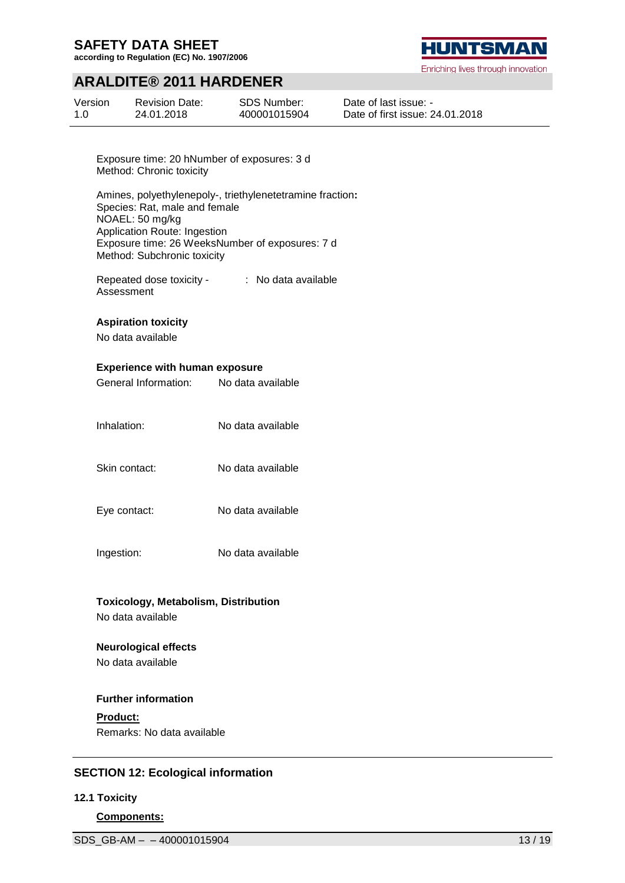**according to Regulation (EC) No. 1907/2006**

### **ARALDITE® 2011 HARDENER**

| Version | <b>Revision Date:</b> | <b>SDS Number:</b> |
|---------|-----------------------|--------------------|
| 1.0     | 24.01.2018            | 400001015904       |



Enriching lives through innovation

Date of last issue: - Date of first issue: 24.01.2018

Exposure time: 20 hNumber of exposures: 3 d Method: Chronic toxicity

Amines, polyethylenepoly-, triethylenetetramine fraction**:** Species: Rat, male and female NOAEL: 50 mg/kg Application Route: Ingestion Exposure time: 26 WeeksNumber of exposures: 7 d Method: Subchronic toxicity

Repeated dose toxicity - Assessment : No data available

#### **Aspiration toxicity**

No data available

#### **Experience with human exposure**

- General Information: No data available
- Inhalation: No data available
- Skin contact: No data available
- Eye contact: No data available
- Ingestion: No data available

# **Toxicology, Metabolism, Distribution**

No data available

## **Neurological effects**

No data available

### **Further information**

**Product:** Remarks: No data available

#### **SECTION 12: Ecological information**

#### **12.1 Toxicity**

**Components:**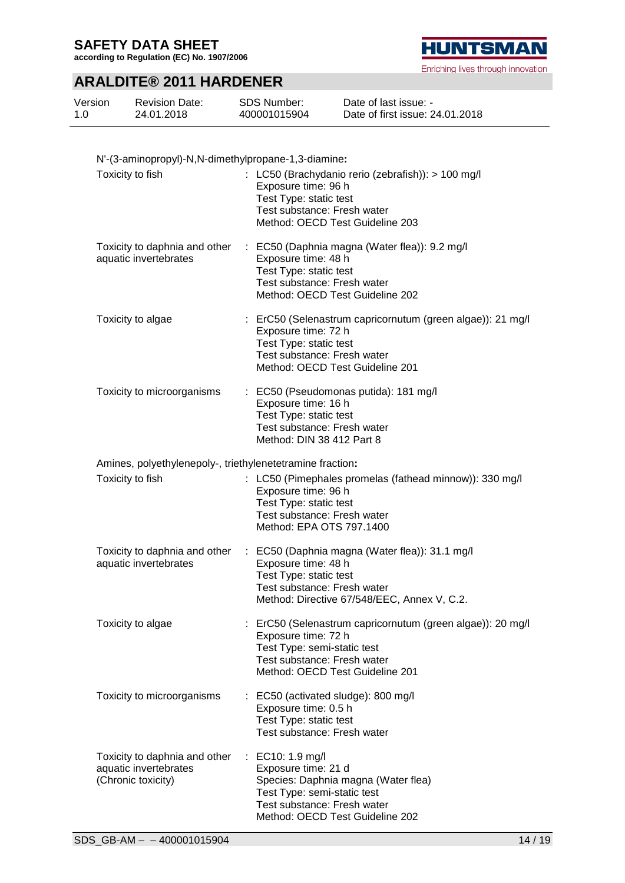**according to Regulation (EC) No. 1907/2006**

# **HUNTSMAN**

Enriching lives through innovation

### **ARALDITE® 2011 HARDENER**

| Version | <b>Revision Date:</b> | <b>SDS Number:</b> | Date of last issue: -           |
|---------|-----------------------|--------------------|---------------------------------|
| 1.0     | 24.01.2018            | 400001015904       | Date of first issue: 24.01.2018 |

| N'-(3-aminopropyl)-N,N-dimethylpropane-1,3-diamine:                          |                                                                                                                                                                                  |  |  |  |
|------------------------------------------------------------------------------|----------------------------------------------------------------------------------------------------------------------------------------------------------------------------------|--|--|--|
| Toxicity to fish                                                             | : LC50 (Brachydanio rerio (zebrafish)): > 100 mg/l<br>Exposure time: 96 h<br>Test Type: static test<br>Test substance: Fresh water<br>Method: OECD Test Guideline 203            |  |  |  |
| Toxicity to daphnia and other<br>aquatic invertebrates                       | : EC50 (Daphnia magna (Water flea)): 9.2 mg/l<br>Exposure time: 48 h<br>Test Type: static test<br>Test substance: Fresh water<br>Method: OECD Test Guideline 202                 |  |  |  |
| Toxicity to algae                                                            | : ErC50 (Selenastrum capricornutum (green algae)): 21 mg/l<br>Exposure time: 72 h<br>Test Type: static test<br>Test substance: Fresh water<br>Method: OECD Test Guideline 201    |  |  |  |
| Toxicity to microorganisms                                                   | : EC50 (Pseudomonas putida): 181 mg/l<br>Exposure time: 16 h<br>Test Type: static test<br>Test substance: Fresh water<br>Method: DIN 38 412 Part 8                               |  |  |  |
| Amines, polyethylenepoly-, triethylenetetramine fraction:                    |                                                                                                                                                                                  |  |  |  |
| Toxicity to fish                                                             | : LC50 (Pimephales promelas (fathead minnow)): 330 mg/l<br>Exposure time: 96 h<br>Test Type: static test<br>Test substance: Fresh water<br>Method: EPA OTS 797.1400              |  |  |  |
| Toxicity to daphnia and other<br>aquatic invertebrates                       | : EC50 (Daphnia magna (Water flea)): 31.1 mg/l<br>Exposure time: 48 h<br>Test Type: static test<br>Test substance: Fresh water<br>Method: Directive 67/548/EEC, Annex V, C.2.    |  |  |  |
| Toxicity to algae                                                            | ErC50 (Selenastrum capricornutum (green algae)): 20 mg/l<br>Exposure time: 72 h<br>Test Type: semi-static test<br>Test substance: Fresh water<br>Method: OECD Test Guideline 201 |  |  |  |
| Toxicity to microorganisms                                                   | : EC50 (activated sludge): 800 mg/l<br>Exposure time: 0.5 h<br>Test Type: static test<br>Test substance: Fresh water                                                             |  |  |  |
| Toxicity to daphnia and other<br>aquatic invertebrates<br>(Chronic toxicity) | : EC10: 1.9 mg/l<br>Exposure time: 21 d<br>Species: Daphnia magna (Water flea)<br>Test Type: semi-static test<br>Test substance: Fresh water<br>Method: OECD Test Guideline 202  |  |  |  |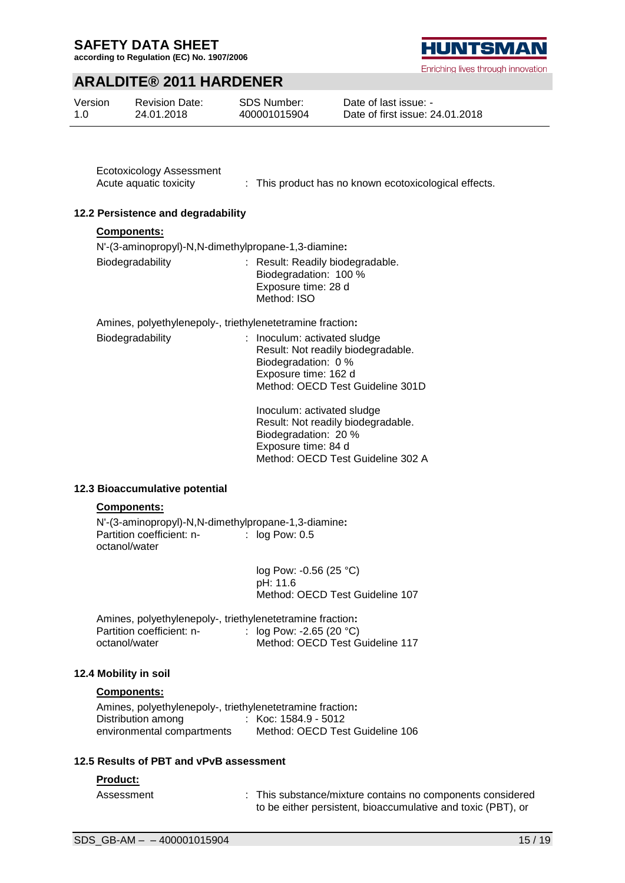**according to Regulation (EC) No. 1907/2006**

### **HUNTSMA** Enriching lives through innovation

### **ARALDITE® 2011 HARDENER**

| Version | <b>Revision Date:</b> | SDS Number:  | Date of last issue: -           |
|---------|-----------------------|--------------|---------------------------------|
| 1.0     | 24.01.2018            | 400001015904 | Date of first issue: 24.01.2018 |

Ecotoxicology Assessment

Acute aquatic toxicity : This product has no known ecotoxicological effects.

#### **12.2 Persistence and degradability**

#### **Components:**

N'-(3-aminopropyl)-N,N-dimethylpropane-1,3-diamine**:**

| Biodegradability | : Result: Readily biodegradable.<br>Biodegradation: 100 % |
|------------------|-----------------------------------------------------------|
|                  | Exposure time: 28 d                                       |
|                  | Method: ISO                                               |

Amines, polyethylenepoly-, triethylenetetramine fraction**:**

| Biodegradability | : Inoculum: activated sludge<br>Result: Not readily biodegradable.<br>Biodegradation: 0 %<br>Exposure time: 162 d<br>Method: OECD Test Guideline 301D |
|------------------|-------------------------------------------------------------------------------------------------------------------------------------------------------|
|                  |                                                                                                                                                       |

Inoculum: activated sludge Result: Not readily biodegradable. Biodegradation: 20 % Exposure time: 84 d Method: OECD Test Guideline 302 A

#### **12.3 Bioaccumulative potential**

#### **Components:**

N'-(3-aminopropyl)-N,N-dimethylpropane-1,3-diamine**:** Partition coefficient: noctanol/water  $\therefore$  log Pow: 0.5

> log Pow: -0.56 (25 °C) pH: 11.6 Method: OECD Test Guideline 107

| Amines, polyethylenepoly-, triethylenetetramine fraction: |                                 |
|-----------------------------------------------------------|---------------------------------|
| Partition coefficient: n-                                 | : $log Pow: -2.65 (20 °C)$      |
| octanol/water                                             | Method: OECD Test Guideline 117 |

#### **12.4 Mobility in soil**

#### **Components:**

Amines, polyethylenepoly-, triethylenetetramine fraction**:** Distribution among environmental compartments : Koc: 1584.9 - 5012 Method: OECD Test Guideline 106

#### **12.5 Results of PBT and vPvB assessment**

#### **Product:**

Assessment : This substance/mixture contains no components considered to be either persistent, bioaccumulative and toxic (PBT), or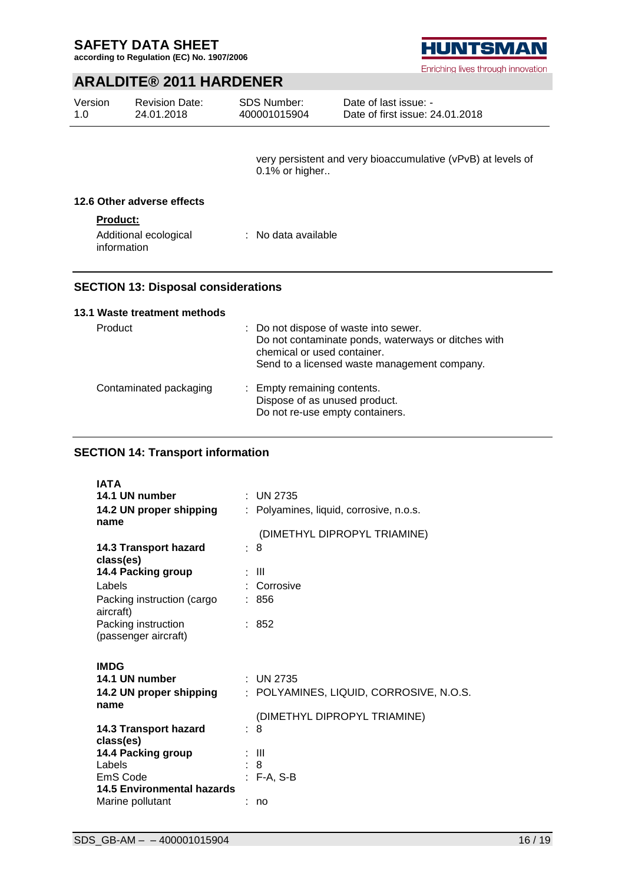**according to Regulation (EC) No. 1907/2006**



Enriching lives through innovation

### **ARALDITE® 2011 HARDENER**

| Version | <b>Revision Date:</b> | <b>SDS Number:</b> | Date of last issue: -           |
|---------|-----------------------|--------------------|---------------------------------|
| 1.0     | 24.01.2018            | 400001015904       | Date of first issue: 24.01.2018 |

very persistent and very bioaccumulative (vPvB) at levels of 0.1% or higher..

#### **12.6 Other adverse effects**

#### **Product:**

| Additional ecological | : No data available |
|-----------------------|---------------------|
| information           |                     |

#### **SECTION 13: Disposal considerations**

#### **13.1 Waste treatment methods**

| Product                | : Do not dispose of waste into sewer.<br>Do not contaminate ponds, waterways or ditches with<br>chemical or used container.<br>Send to a licensed waste management company. |
|------------------------|-----------------------------------------------------------------------------------------------------------------------------------------------------------------------------|
| Contaminated packaging | : Empty remaining contents.<br>Dispose of as unused product.<br>Do not re-use empty containers.                                                                             |

#### **SECTION 14: Transport information**

| <b>IATA</b>                                   |                                         |
|-----------------------------------------------|-----------------------------------------|
| 14.1 UN number                                | : UN 2735                               |
| 14.2 UN proper shipping<br>name               | : Polyamines, liquid, corrosive, n.o.s. |
|                                               | (DIMETHYL DIPROPYL TRIAMINE)            |
| 14.3 Transport hazard<br>class(es)            | : 8                                     |
| 14.4 Packing group                            | : III                                   |
| Labels                                        | : Corrosive                             |
| Packing instruction (cargo<br>aircraft)       | : 856                                   |
| Packing instruction<br>(passenger aircraft)   | : 852                                   |
|                                               |                                         |
|                                               |                                         |
| <b>IMDG</b>                                   |                                         |
| 14.1 UN number                                | : UN 2735                               |
| 14.2 UN proper shipping                       | : POLYAMINES, LIQUID, CORROSIVE, N.O.S. |
| name                                          |                                         |
| 14.3 Transport hazard                         | (DIMETHYL DIPROPYL TRIAMINE)<br>: 8     |
| class(es)                                     |                                         |
| 14.4 Packing group                            | -III                                    |
| Labels                                        | $\therefore$ 8                          |
| EmS Code<br><b>14.5 Environmental hazards</b> | $:$ F-A, S-B                            |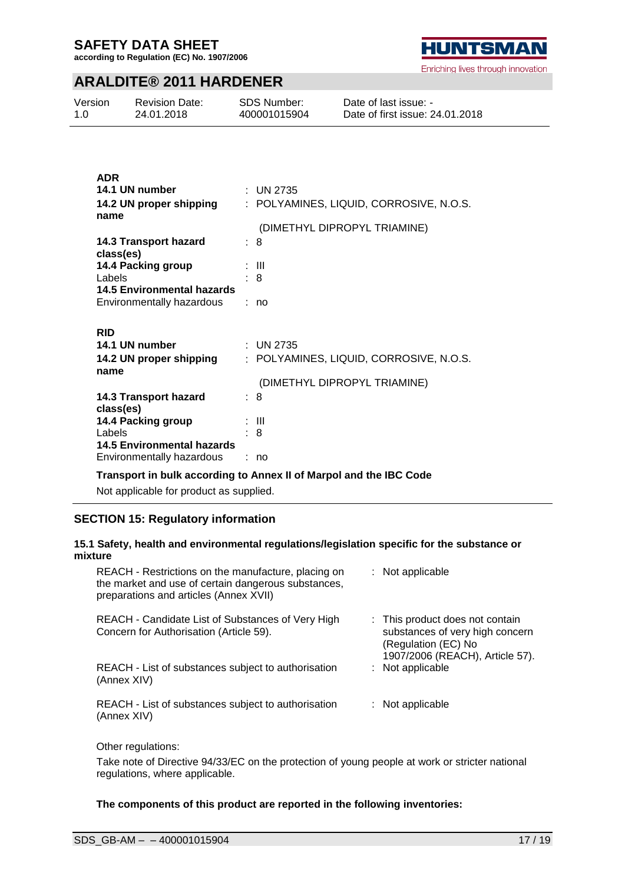**according to Regulation (EC) No. 1907/2006**



### **ARALDITE® 2011 HARDENER**

| Version | <b>Revision Date:</b> | <b>SDS Number:</b> | Date of last issue: -           |
|---------|-----------------------|--------------------|---------------------------------|
| 1.0     | 24.01.2018            | 400001015904       | Date of first issue: 24.01.2018 |

| <b>ADR</b>                                              |                                         |
|---------------------------------------------------------|-----------------------------------------|
| 14.1 UN number                                          | : UN 2735                               |
| 14.2 UN proper shipping                                 | : POLYAMINES, LIQUID, CORROSIVE, N.O.S. |
| name                                                    | (DIMETHYL DIPROPYL TRIAMINE)            |
|                                                         | : 8                                     |
| 14.3 Transport hazard<br>class(es)                      |                                         |
| 14.4 Packing group                                      | : III                                   |
| Labels                                                  | : 8                                     |
| 14.5 Environmental hazards                              |                                         |
| Environmentally hazardous                               | : no                                    |
|                                                         |                                         |
|                                                         |                                         |
| <b>RID</b>                                              |                                         |
| 14.1 UN number                                          | : UN 2735                               |
| 14.2 UN proper shipping                                 | POLYAMINES, LIQUID, CORROSIVE, N.O.S.   |
| name                                                    |                                         |
|                                                         | (DIMETHYL DIPROPYL TRIAMINE)            |
| 14.3 Transport hazard                                   | : 8                                     |
| class(es)                                               |                                         |
| 14.4 Packing group                                      | : III                                   |
| Labels                                                  | 8                                       |
| 14.5 Environmental hazards<br>Environmentally hazardous | no                                      |

**Transport in bulk according to Annex II of Marpol and the IBC Code**

Not applicable for product as supplied.

#### **SECTION 15: Regulatory information**

#### **15.1 Safety, health and environmental regulations/legislation specific for the substance or mixture**

| REACH - Restrictions on the manufacture, placing on<br>the market and use of certain dangerous substances,<br>preparations and articles (Annex XVII) | $:$ Not applicable                                                                                                           |
|------------------------------------------------------------------------------------------------------------------------------------------------------|------------------------------------------------------------------------------------------------------------------------------|
| REACH - Candidate List of Substances of Very High<br>Concern for Authorisation (Article 59).                                                         | : This product does not contain<br>substances of very high concern<br>(Regulation (EC) No<br>1907/2006 (REACH), Article 57). |
| REACH - List of substances subject to authorisation<br>(Annex XIV)                                                                                   | $:$ Not applicable                                                                                                           |
| REACH - List of substances subject to authorisation<br>(Annex XIV)                                                                                   | : Not applicable                                                                                                             |
|                                                                                                                                                      |                                                                                                                              |

Other regulations:

Take note of Directive 94/33/EC on the protection of young people at work or stricter national regulations, where applicable.

**The components of this product are reported in the following inventories:**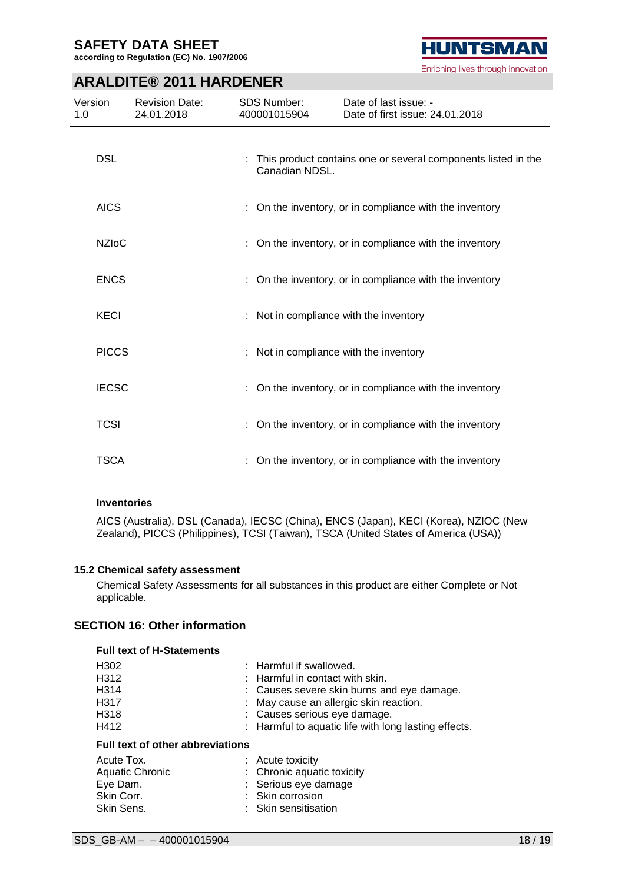**according to Regulation (EC) No. 1907/2006**



### **ARALDITE® 2011 HARDENER**

| Version<br>1.0 | <b>Revision Date:</b><br>24.01.2018 | <b>SDS Number:</b><br>400001015904 |                | Date of last issue: -<br>Date of first issue: 24.01.2018      |
|----------------|-------------------------------------|------------------------------------|----------------|---------------------------------------------------------------|
| <b>DSL</b>     |                                     |                                    | Canadian NDSL. | This product contains one or several components listed in the |
| <b>AICS</b>    |                                     |                                    |                | : On the inventory, or in compliance with the inventory       |
| <b>NZIoC</b>   |                                     |                                    |                | : On the inventory, or in compliance with the inventory       |
| <b>ENCS</b>    |                                     |                                    |                | : On the inventory, or in compliance with the inventory       |
| <b>KECI</b>    |                                     |                                    |                | : Not in compliance with the inventory                        |
| <b>PICCS</b>   |                                     |                                    |                | : Not in compliance with the inventory                        |
| <b>IECSC</b>   |                                     |                                    |                | : On the inventory, or in compliance with the inventory       |
| <b>TCSI</b>    |                                     |                                    |                | : On the inventory, or in compliance with the inventory       |
| <b>TSCA</b>    |                                     |                                    |                | : On the inventory, or in compliance with the inventory       |

#### **Inventories**

AICS (Australia), DSL (Canada), IECSC (China), ENCS (Japan), KECI (Korea), NZIOC (New Zealand), PICCS (Philippines), TCSI (Taiwan), TSCA (United States of America (USA))

#### **15.2 Chemical safety assessment**

Chemical Safety Assessments for all substances in this product are either Complete or Not applicable.

### **SECTION 16: Other information**

| <b>Full text of H-Statements</b>        |                                                      |
|-----------------------------------------|------------------------------------------------------|
| H302                                    | : Harmful if swallowed.                              |
| H312                                    | $:$ Harmful in contact with skin.                    |
| H314                                    | : Causes severe skin burns and eye damage.           |
| H317                                    | : May cause an allergic skin reaction.               |
| H318                                    | : Causes serious eye damage.                         |
| H412                                    | : Harmful to aquatic life with long lasting effects. |
| <b>Full text of other abbreviations</b> |                                                      |
| Acute Tox.                              | $:$ Acute toxicity                                   |
| <b>Aquatic Chronic</b>                  | : Chronic aquatic toxicity                           |
| Eye Dam.                                | : Serious eye damage                                 |
| Skin Corr.                              | : Skin corrosion                                     |
| Skin Sens.                              | : Skin sensitisation                                 |